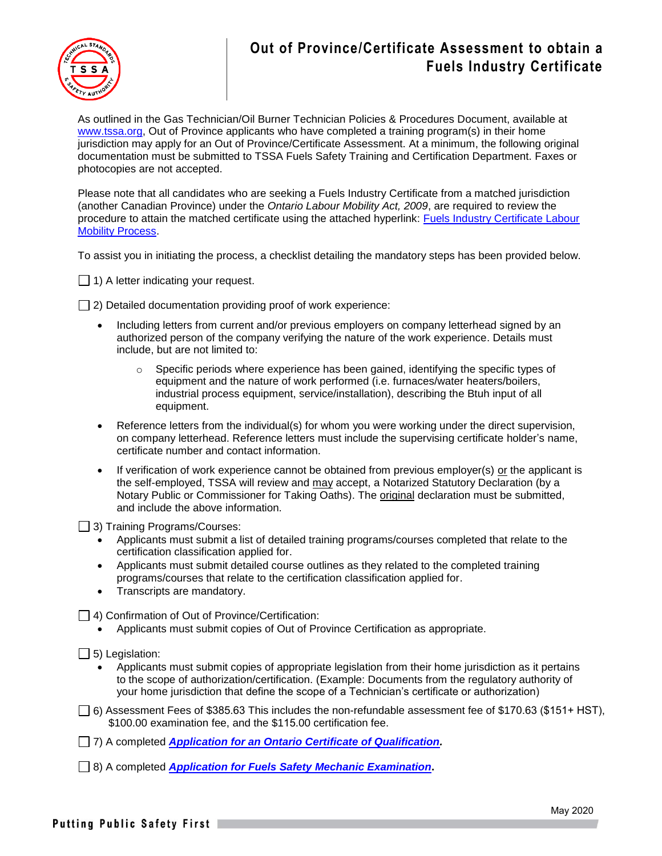

## **Out of Province/Certificate Assessment to obtain a Fuels Industry Certificate**

As outlined in the Gas Technician/Oil Burner Technician Policies & Procedures Document, available at [www.tssa.org,](http://www.tssa.org/) Out of Province applicants who have completed a training program(s) in their home jurisdiction may apply for an Out of Province/Certificate Assessment. At a minimum, the following original documentation must be submitted to TSSA Fuels Safety Training and Certification Department. Faxes or photocopies are not accepted.

Please note that all candidates who are seeking a Fuels Industry Certificate from a matched jurisdiction (another Canadian Province) under the *Ontario Labour Mobility Act, 2009*, are required to review the procedure to attain the matched certificate using the attached hyperlink: Fuels Industry Certificate Labour **[Mobility Process.](https://www.tssa.org/en/fuels/labour-mobility.aspx)** 

To assist you in initiating the process, a checklist detailing the mandatory steps has been provided below.

1) A letter indicating your request.

 $\Box$  2) Detailed documentation providing proof of work experience:

- Including letters from current and/or previous employers on company letterhead signed by an authorized person of the company verifying the nature of the work experience. Details must include, but are not limited to:
	- $\circ$  Specific periods where experience has been gained, identifying the specific types of equipment and the nature of work performed (i.e. furnaces/water heaters/boilers, industrial process equipment, service/installation), describing the Btuh input of all equipment.
- Reference letters from the individual(s) for whom you were working under the direct supervision, on company letterhead. Reference letters must include the supervising certificate holder's name, certificate number and contact information.
- If verification of work experience cannot be obtained from previous employer(s) or the applicant is the self-employed, TSSA will review and may accept, a Notarized Statutory Declaration (by a Notary Public or Commissioner for Taking Oaths). The original declaration must be submitted, and include the above information.

3) Training Programs/Courses:

- Applicants must submit a list of detailed training programs/courses completed that relate to the certification classification applied for.
- Applicants must submit detailed course outlines as they related to the completed training programs/courses that relate to the certification classification applied for.
- Transcripts are mandatory.

 $\Box$  4) Confirmation of Out of Province/Certification:

- Applicants must submit copies of Out of Province Certification as appropriate.
- $\Box$  5) Legislation:
	- Applicants must submit copies of appropriate legislation from their home jurisdiction as it pertains to the scope of authorization/certification. (Example: Documents from the regulatory authority of your home jurisdiction that define the scope of a Technician's certificate or authorization)
- $\Box$  6) Assessment Fees of \$385.63 This includes the non-refundable assessment fee of \$170.63 (\$151+ HST), \$100.00 examination fee, and the \$115.00 certification fee.
- 7) A completed *[Application for an Ontario Certificate of Qualification.](https://www.tssa.org/en/fuels/resources/Documents/FS-C-of-Q.pdf)*
- 8) A completed *[Application for Fuels Safety](https://www.tssa.org/en/about-tssa/resources/Documents/Fuels-exam-app--2020.pdf) Mechanic Examination***.**

Putting Public Safety First